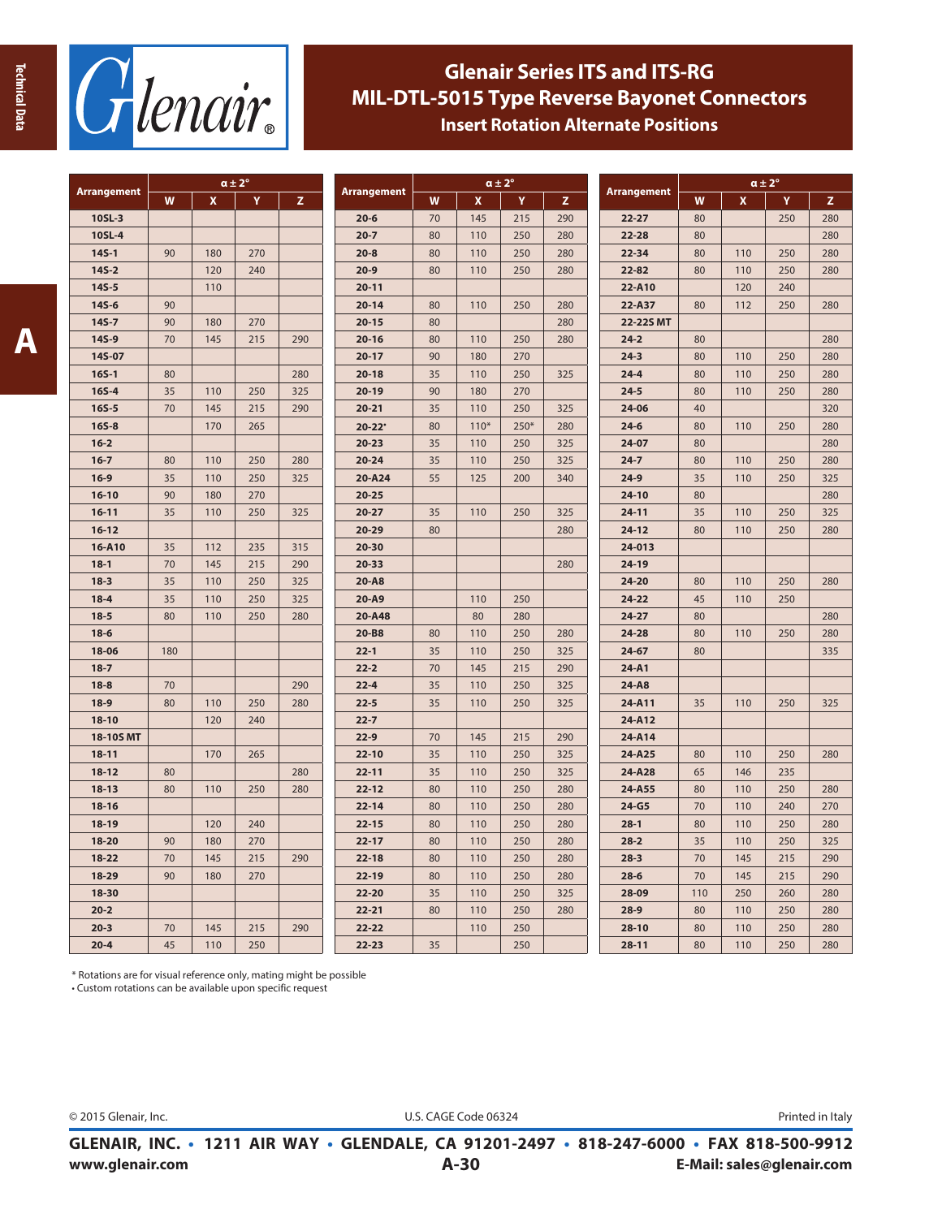



## **Glenair Series ITS and ITS-RG MIL-DTL-5015 Type Reverse Bayonet Connectors Insert Rotation Alternate Positions**

| <b>Arrangement</b> |     |     | $\alpha \pm 2^{\circ}$ |     |                    | $\alpha \pm 2^{\circ}$ |        |        |     |             | $\alpha \pm 2^{\circ}$ |     |     |     |
|--------------------|-----|-----|------------------------|-----|--------------------|------------------------|--------|--------|-----|-------------|------------------------|-----|-----|-----|
|                    | W   | x   | Y                      | z   | <b>Arrangement</b> | W                      | x      | Y      | z   | Arrangement | W                      | X   | Y   | z   |
| 10SL-3             |     |     |                        |     | $20 - 6$           | 70                     | 145    | 215    | 290 | $22 - 27$   | 80                     |     | 250 | 280 |
| 10SL-4             |     |     |                        |     | $20 - 7$           | 80                     | 110    | 250    | 280 | $22 - 28$   | 80                     |     |     | 280 |
| $145 - 1$          | 90  | 180 | 270                    |     | $20 - 8$           | 80                     | 110    | 250    | 280 | $22 - 34$   | 80                     | 110 | 250 | 280 |
| $145 - 2$          |     | 120 | 240                    |     | $20 - 9$           | 80                     | 110    | 250    | 280 | 22-82       | 80                     | 110 | 250 | 280 |
| $145 - 5$          |     | 110 |                        |     | $20 - 11$          |                        |        |        |     | 22-A10      |                        | 120 | 240 |     |
| 14S-6              | 90  |     |                        |     | $20 - 14$          | 80                     | 110    | 250    | 280 | 22-A37      | 80                     | 112 | 250 | 280 |
| $14S - 7$          | 90  | 180 | 270                    |     | $20 - 15$          | 80                     |        |        | 280 | 22-22S MT   |                        |     |     |     |
| 14S-9              | 70  | 145 | 215                    | 290 | $20 - 16$          | 80                     | 110    | 250    | 280 | $24 - 2$    | 80                     |     |     | 280 |
| 14S-07             |     |     |                        |     | $20 - 17$          | 90                     | 180    | 270    |     | $24-3$      | 80                     | 110 | 250 | 280 |
| $16S-1$            | 80  |     |                        | 280 | $20 - 18$          | 35                     | 110    | 250    | 325 | $24 - 4$    | 80                     | 110 | 250 | 280 |
| $165 - 4$          | 35  | 110 | 250                    | 325 | $20-19$            | 90                     | 180    | 270    |     | $24 - 5$    | 80                     | 110 | 250 | 280 |
| $16S - 5$          | 70  | 145 | 215                    | 290 | $20 - 21$          | 35                     | 110    | 250    | 325 | 24-06       | 40                     |     |     | 320 |
| $165 - 8$          |     | 170 | 265                    |     | $20 - 22'$         | 80                     | $110*$ | $250*$ | 280 | $24-6$      | 80                     | 110 | 250 | 280 |
| $16 - 2$           |     |     |                        |     | $20 - 23$          | 35                     | 110    | 250    | 325 | $24-07$     | 80                     |     |     | 280 |
| $16 - 7$           | 80  | 110 | 250                    | 280 | $20 - 24$          | 35                     | 110    | 250    | 325 | $24 - 7$    | 80                     | 110 | 250 | 280 |
| $16-9$             | 35  | 110 | 250                    | 325 | 20-A24             | 55                     | 125    | 200    | 340 | $24-9$      | 35                     | 110 | 250 | 325 |
| $16 - 10$          | 90  | 180 | 270                    |     | $20 - 25$          |                        |        |        |     | $24-10$     | 80                     |     |     | 280 |
| $16 - 11$          | 35  | 110 | 250                    | 325 | $20 - 27$          | 35                     | 110    | 250    | 325 | $24 - 11$   | 35                     | 110 | 250 | 325 |
| $16 - 12$          |     |     |                        |     | 20-29              | 80                     |        |        | 280 | $24 - 12$   | 80                     | 110 | 250 | 280 |
| 16-A10             | 35  | 112 | 235                    | 315 | $20 - 30$          |                        |        |        |     | 24-013      |                        |     |     |     |
| $18-1$             | 70  | 145 | 215                    | 290 | $20 - 33$          |                        |        |        | 280 | 24-19       |                        |     |     |     |
| $18 - 3$           | 35  | 110 | 250                    | 325 | 20-A8              |                        |        |        |     | 24-20       | 80                     | 110 | 250 | 280 |
| $18 - 4$           | 35  | 110 | 250                    | 325 | 20-A9              |                        | 110    | 250    |     | $24 - 22$   | 45                     | 110 | 250 |     |
| $18 - 5$           | 80  | 110 | 250                    | 280 | 20-A48             |                        | 80     | 280    |     | $24 - 27$   | 80                     |     |     | 280 |
| $18-6$             |     |     |                        |     | 20-B8              | 80                     | 110    | 250    | 280 | 24-28       | 80                     | 110 | 250 | 280 |
| 18-06              | 180 |     |                        |     | $22 - 1$           | 35                     | 110    | 250    | 325 | $24 - 67$   | 80                     |     |     | 335 |
| $18 - 7$           |     |     |                        |     | $22 - 2$           | 70                     | 145    | 215    | 290 | $24-A1$     |                        |     |     |     |
| $18 - 8$           | 70  |     |                        | 290 | $22 - 4$           | 35                     | 110    | 250    | 325 | 24-A8       |                        |     |     |     |
| $18-9$             | 80  | 110 | 250                    | 280 | $22 - 5$           | 35                     | 110    | 250    | 325 | 24-A11      | 35                     | 110 | 250 | 325 |
| $18 - 10$          |     | 120 | 240                    |     | $22 - 7$           |                        |        |        |     | 24-A12      |                        |     |     |     |
| 18-10S MT          |     |     |                        |     | $22 - 9$           | 70                     | 145    | 215    | 290 | 24-A14      |                        |     |     |     |
| $18 - 11$          |     | 170 | 265                    |     | $22 - 10$          | 35                     | 110    | 250    | 325 | 24-A25      | 80                     | 110 | 250 | 280 |
| $18-12$            | 80  |     |                        | 280 | $22 - 11$          | 35                     | 110    | 250    | 325 | 24-A28      | 65                     | 146 | 235 |     |
| $18 - 13$          | 80  | 110 | 250                    | 280 | $22 - 12$          | 80                     | 110    | 250    | 280 | 24-A55      | 80                     | 110 | 250 | 280 |
| $18 - 16$          |     |     |                        |     | $22 - 14$          | 80                     | 110    | 250    | 280 | $24-G5$     | 70                     | 110 | 240 | 270 |
| 18-19              |     | 120 | 240                    |     | $22 - 15$          | 80                     | 110    | 250    | 280 | $28-1$      | 80                     | 110 | 250 | 280 |
| 18-20              | 90  | 180 | 270                    |     | $22 - 17$          | 80                     | 110    | 250    | 280 | $28 - 2$    | 35                     | 110 | 250 | 325 |
| $18 - 22$          | 70  | 145 | 215                    | 290 | $22 - 18$          | 80                     | 110    | 250    | 280 | $28 - 3$    | 70                     | 145 | 215 | 290 |
| 18-29              | 90  | 180 | 270                    |     | 22-19              | 80                     | 110    | 250    | 280 | $28 - 6$    | 70                     | 145 | 215 | 290 |
| 18-30              |     |     |                        |     | 22-20              | 35                     | 110    | 250    | 325 | 28-09       | 110                    | 250 | 260 | 280 |
| $20 - 2$           |     |     |                        |     | $22 - 21$          | 80                     | 110    | 250    | 280 | $28-9$      | 80                     | 110 | 250 | 280 |
| $20 - 3$           | 70  | 145 | 215                    | 290 | 22-22              |                        | 110    | 250    |     | $28-10$     | 80                     | 110 | 250 | 280 |
| $20 - 4$           | 45  | 110 | 250                    |     | $22 - 23$          | 35                     |        | 250    |     | $28 - 11$   | 80                     | 110 | 250 | 280 |

\* Rotations are for visual reference only, mating might be possible

• Custom rotations can be available upon specific request

© 2015 Glenair, Inc.

U.S. CAGE Code 06324 **Printed in Italy**